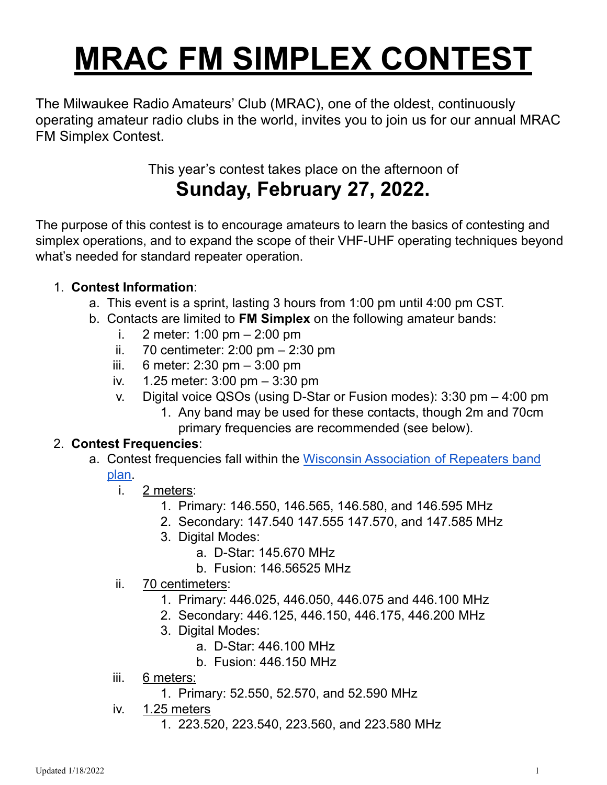# **MRAC FM SIMPLEX CONTEST**

The Milwaukee Radio Amateurs' Club (MRAC), one of the oldest, continuously operating amateur radio clubs in the world, invites you to join us for our annual MRAC FM Simplex Contest.

This year's contest takes place on the afternoon of

# **Sunday, February 27, 2022.**

The purpose of this contest is to encourage amateurs to learn the basics of contesting and simplex operations, and to expand the scope of their VHF-UHF operating techniques beyond what's needed for standard repeater operation.

### 1. **Contest Information**:

- a. This event is a sprint, lasting 3 hours from 1:00 pm until 4:00 pm CST.
- b. Contacts are limited to **FM Simplex** on the following amateur bands:
	- i. 2 meter: 1:00 pm 2:00 pm
	- ii. 70 centimeter: 2:00 pm 2:30 pm
	- iii. 6 meter: 2:30 pm 3:00 pm
	- iv. 1.25 meter: 3:00 pm 3:30 pm
	- v. Digital voice QSOs (using D-Star or Fusion modes): 3:30 pm 4:00 pm
		- 1. Any band may be used for these contacts, though 2m and 70cm primary frequencies are recommended (see below).

#### 2. **Contest Frequencies**:

- a. Contest frequencies fall within the Wisconsin [Association](https://wi-repeaters.org/forms/WAR-Bandplan-Revised-2019.pdf) of Repeaters band [plan.](https://wi-repeaters.org/forms/WAR-Bandplan-Revised-2019.pdf)
	- i. 2 meters:
		- 1. Primary: 146.550, 146.565, 146.580, and 146.595 MHz
		- 2. Secondary: 147.540 147.555 147.570, and 147.585 MHz
		- 3. Digital Modes:
			- a. D-Star: 145.670 MHz
			- b. Fusion: 146.56525 MHz
	- ii. 70 centimeters:
		- 1. Primary: 446.025, 446.050, 446.075 and 446.100 MHz
		- 2. Secondary: 446.125, 446.150, 446.175, 446.200 MHz
		- 3. Digital Modes:
			- a. D-Star: 446.100 MHz
			- b. Fusion: 446.150 MHz
	- iii. 6 meters:
		- 1. Primary: 52.550, 52.570, and 52.590 MHz
	- iv. 1.25 meters
		- 1. 223.520, 223.540, 223.560, and 223.580 MHz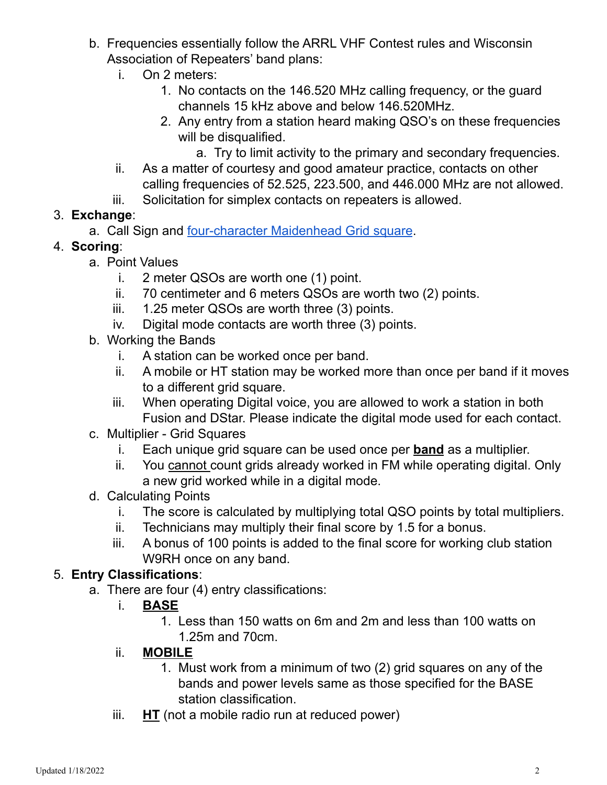- b. Frequencies essentially follow the ARRL VHF Contest rules and Wisconsin Association of Repeaters' band plans:
	- i. On 2 meters:
		- 1. No contacts on the 146.520 MHz calling frequency, or the guard channels 15 kHz above and below 146.520MHz.
		- 2. Any entry from a station heard making QSO's on these frequencies will be disqualified.
			- a. Try to limit activity to the primary and secondary frequencies.
	- ii. As a matter of courtesy and good amateur practice, contacts on other calling frequencies of 52.525, 223.500, and 446.000 MHz are not allowed.
	- iii. Solicitation for simplex contacts on repeaters is allowed.
- 3. **Exchange**:
	- a. Call Sign and [four-character](https://dxcluster.ha8tks.hu/hamgeocoding/) Maidenhead Grid square.
- 4. **Scoring**:
	- a. Point Values
		- i. 2 meter QSOs are worth one (1) point.
		- ii. 70 centimeter and 6 meters QSOs are worth two (2) points.
		- iii. 1.25 meter QSOs are worth three (3) points.
		- iv. Digital mode contacts are worth three (3) points.
	- b. Working the Bands
		- i. A station can be worked once per band.
		- ii. A mobile or HT station may be worked more than once per band if it moves to a different grid square.
		- iii. When operating Digital voice, you are allowed to work a station in both Fusion and DStar. Please indicate the digital mode used for each contact.
	- c. Multiplier Grid Squares
		- i. Each unique grid square can be used once per **band** as a multiplier.
		- ii. You cannot count grids already worked in FM while operating digital. Only a new grid worked while in a digital mode.
	- d. Calculating Points
		- i. The score is calculated by multiplying total QSO points by total multipliers.
		- ii. Technicians may multiply their final score by 1.5 for a bonus.
		- iii. A bonus of 100 points is added to the final score for working club station W9RH once on any band.

# 5. **Entry Classifications**:

- a. There are four (4) entry classifications:
	- i. **BASE**
		- 1. Less than 150 watts on 6m and 2m and less than 100 watts on 1.25m and 70cm.
	- ii. **MOBILE**
		- 1. Must work from a minimum of two (2) grid squares on any of the bands and power levels same as those specified for the BASE station classification.
	- iii. **HT** (not a mobile radio run at reduced power)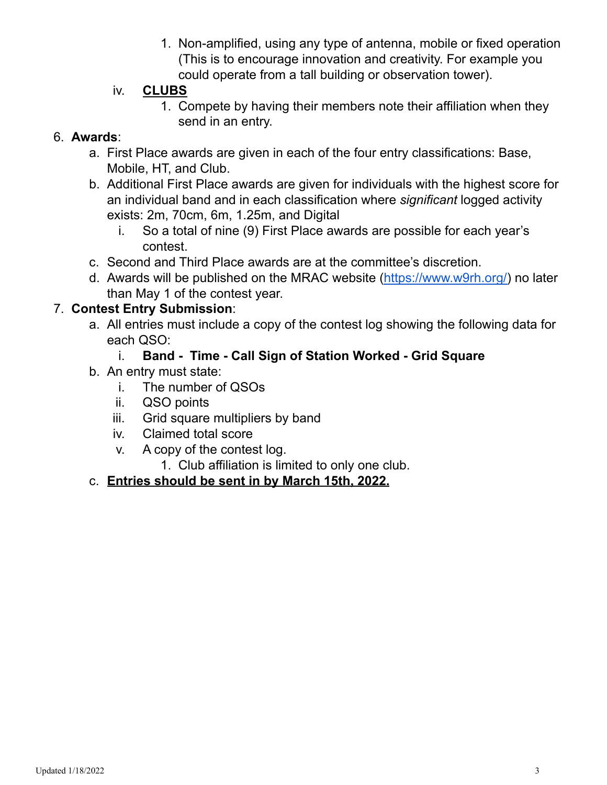1. Non-amplified, using any type of antenna, mobile or fixed operation (This is to encourage innovation and creativity. For example you could operate from a tall building or observation tower).

#### iv. **CLUBS**

1. Compete by having their members note their affiliation when they send in an entry.

#### 6. **Awards**:

- a. First Place awards are given in each of the four entry classifications: Base, Mobile, HT, and Club.
- b. Additional First Place awards are given for individuals with the highest score for an individual band and in each classification where *significant* logged activity exists: 2m, 70cm, 6m, 1.25m, and Digital
	- i. So a total of nine (9) First Place awards are possible for each year's contest.
- c. Second and Third Place awards are at the committee's discretion.
- d. Awards will be published on the MRAC website [\(https://www.w9rh.org/\)](https://www.w9rh.org/) no later than May 1 of the contest year.

#### 7. **Contest Entry Submission**:

- a. All entries must include a copy of the contest log showing the following data for each QSO:
	- i. **Band - Time - Call Sign of Station Worked - Grid Square**
- b. An entry must state:
	- i. The number of QSOs
	- ii. QSO points
	- iii. Grid square multipliers by band
	- iv. Claimed total score
	- v. A copy of the contest log.
		- 1. Club affiliation is limited to only one club.

#### c. **Entries should be sent in by March 15th, 2022.**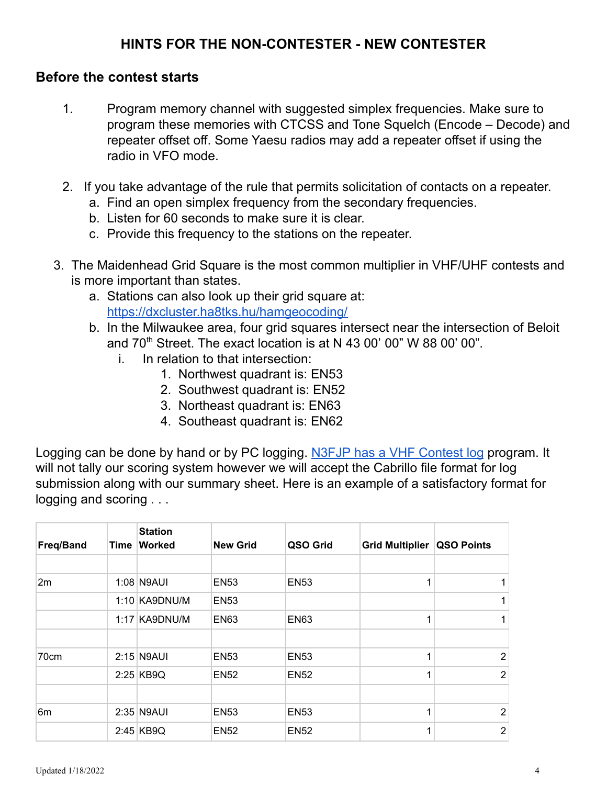### **HINTS FOR THE NON-CONTESTER - NEW CONTESTER**

#### **Before the contest starts**

- 1. Program memory channel with suggested simplex frequencies. Make sure to program these memories with CTCSS and Tone Squelch (Encode – Decode) and repeater offset off. Some Yaesu radios may add a repeater offset if using the radio in VFO mode.
- 2. If you take advantage of the rule that permits solicitation of contacts on a repeater.
	- a. Find an open simplex frequency from the secondary frequencies.
	- b. Listen for 60 seconds to make sure it is clear.
	- c. Provide this frequency to the stations on the repeater.
- 3. The Maidenhead Grid Square is the most common multiplier in VHF/UHF contests and is more important than states.
	- a. Stations can also look up their grid square at: <https://dxcluster.ha8tks.hu/hamgeocoding/>
	- b. In the Milwaukee area, four grid squares intersect near the intersection of Beloit and 70<sup>th</sup> Street. The exact location is at N 43 00' 00" W 88 00' 00".
		- i. In relation to that intersection:
			- 1. Northwest quadrant is: EN53
			- 2. Southwest quadrant is: EN52
			- 3. Northeast quadrant is: EN63
			- 4. Southeast quadrant is: EN62

Logging can be done by hand or by PC logging. N3FJP has a VHF [Contest](http://n3fjp.com/vhfuhf.html) log program. It will not tally our scoring system however we will accept the Cabrillo file format for log submission along with our summary sheet. Here is an example of a satisfactory format for logging and scoring . . .

| <b>Freq/Band</b> | Time | <b>Station</b><br><b>Worked</b> | <b>New Grid</b> | QSO Grid    | <b>Grid Multiplier</b> | QSO Points     |
|------------------|------|---------------------------------|-----------------|-------------|------------------------|----------------|
|                  |      |                                 |                 |             |                        |                |
| 2m               |      | 1:08 N9AUI                      | <b>EN53</b>     | <b>EN53</b> |                        |                |
|                  |      | 1:10 KA9DNU/M                   | <b>EN53</b>     |             |                        |                |
|                  |      | 1:17 KA9DNU/M                   | <b>EN63</b>     | <b>EN63</b> |                        |                |
|                  |      |                                 |                 |             |                        |                |
| 70cm             |      | $2:15$ N9AUI                    | <b>EN53</b>     | <b>EN53</b> |                        | 2              |
|                  |      | 2:25 KB9Q                       | <b>EN52</b>     | <b>EN52</b> |                        | $\overline{2}$ |
|                  |      |                                 |                 |             |                        |                |
| 6 <sub>m</sub>   |      | 2:35 N9AUI                      | <b>EN53</b>     | <b>EN53</b> |                        | 2              |
|                  |      | 2:45 KB9Q                       | <b>EN52</b>     | <b>EN52</b> |                        | $\overline{2}$ |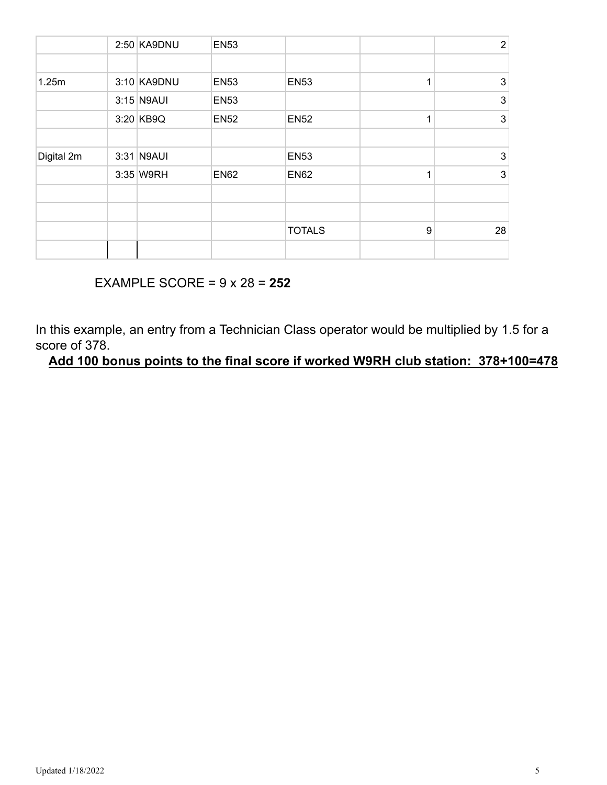|            | 2:50 KA9DNU  | <b>EN53</b> |               |   | $\overline{2}$ |
|------------|--------------|-------------|---------------|---|----------------|
|            |              |             |               |   |                |
| 1.25m      | 3:10 KA9DNU  | <b>EN53</b> | <b>EN53</b>   |   | 3              |
|            | $3:15$ N9AUI | <b>EN53</b> |               |   | $\mathbf{3}$   |
|            | 3:20 KB9Q    | <b>EN52</b> | <b>EN52</b>   |   | $\mathbf{3}$   |
|            |              |             |               |   |                |
| Digital 2m | 3:31 N9AUI   |             | <b>EN53</b>   |   | $\mathbf{3}$   |
|            | 3:35 W9RH    | <b>EN62</b> | <b>EN62</b>   |   | $\mathbf{3}$   |
|            |              |             |               |   |                |
|            |              |             |               |   |                |
|            |              |             | <b>TOTALS</b> | 9 | 28             |
|            |              |             |               |   |                |

# EXAMPLE SCORE = 9 x 28 = **252**

In this example, an entry from a Technician Class operator would be multiplied by 1.5 for a score of 378.

**Add 100 bonus points to the final score if worked W9RH club station: 378+100=478**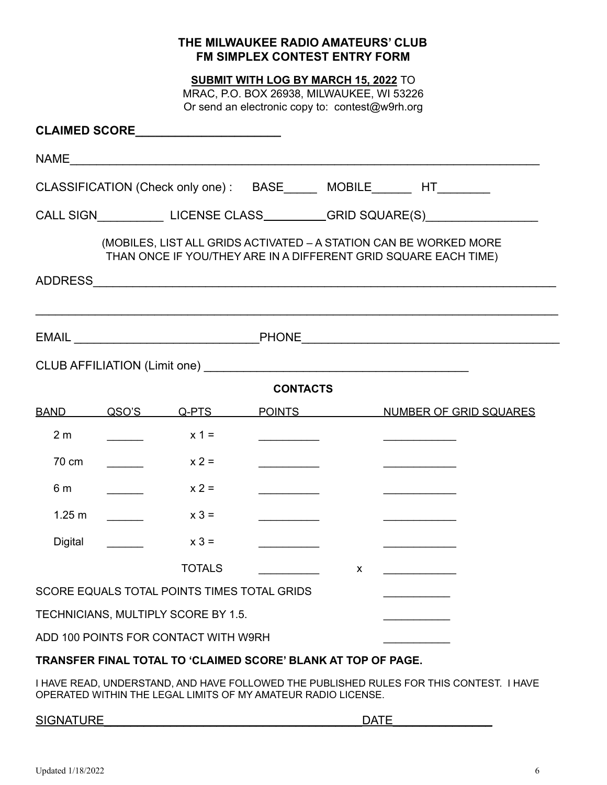#### **THE MILWAUKEE RADIO AMATEURS' CLUB FM SIMPLEX CONTEST ENTRY FORM**

**SUBMIT WITH LOG BY MARCH 15, 2022** TO

MRAC, P.O. BOX 26938, MILWAUKEE, WI 53226 Or send an electronic copy to: contest@w9rh.org

|                                                                                  |       |                                             |                                                                                                                                                                                                                                      |   | CLASSIFICATION (Check only one): BASE _____ MOBILE ______ HT________                                                                 |  |
|----------------------------------------------------------------------------------|-------|---------------------------------------------|--------------------------------------------------------------------------------------------------------------------------------------------------------------------------------------------------------------------------------------|---|--------------------------------------------------------------------------------------------------------------------------------------|--|
| CALL SIGN ______________LICENSE CLASS___________GRID SQUARE(S)__________________ |       |                                             |                                                                                                                                                                                                                                      |   |                                                                                                                                      |  |
|                                                                                  |       |                                             |                                                                                                                                                                                                                                      |   | (MOBILES, LIST ALL GRIDS ACTIVATED - A STATION CAN BE WORKED MORE<br>THAN ONCE IF YOU/THEY ARE IN A DIFFERENT GRID SQUARE EACH TIME) |  |
|                                                                                  |       |                                             |                                                                                                                                                                                                                                      |   |                                                                                                                                      |  |
|                                                                                  |       |                                             |                                                                                                                                                                                                                                      |   |                                                                                                                                      |  |
|                                                                                  |       |                                             |                                                                                                                                                                                                                                      |   |                                                                                                                                      |  |
|                                                                                  |       |                                             |                                                                                                                                                                                                                                      |   |                                                                                                                                      |  |
|                                                                                  |       |                                             | <b>CONTACTS</b>                                                                                                                                                                                                                      |   |                                                                                                                                      |  |
| <b>BAND</b>                                                                      | QSO'S | Q-PTS                                       | <b>POINTS</b>                                                                                                                                                                                                                        |   | NUMBER OF GRID SQUARES                                                                                                               |  |
| 2 <sub>m</sub>                                                                   |       | $x 1 =$                                     | <u> The Community of the Community of the Community of the Community of the Community of the Community of the Community of the Community of the Community of the Community of the Community of the Community of the Community of</u> |   | and the company of the company of the                                                                                                |  |
| 70 cm                                                                            |       | $x 2 =$                                     | the control of the control of                                                                                                                                                                                                        |   |                                                                                                                                      |  |
| 6 m                                                                              |       | $x 2 =$                                     | <u> 1989 - Johann Barnett, fransk konge</u>                                                                                                                                                                                          |   | and the control of the control of the                                                                                                |  |
| 1.25 m                                                                           |       | $x 3 =$                                     |                                                                                                                                                                                                                                      |   |                                                                                                                                      |  |
| Digital                                                                          |       | $x 3 =$                                     |                                                                                                                                                                                                                                      |   |                                                                                                                                      |  |
|                                                                                  |       | <b>TOTALS</b>                               |                                                                                                                                                                                                                                      | X |                                                                                                                                      |  |
|                                                                                  |       | SCORE EQUALS TOTAL POINTS TIMES TOTAL GRIDS |                                                                                                                                                                                                                                      |   |                                                                                                                                      |  |
|                                                                                  |       | TECHNICIANS, MULTIPLY SCORE BY 1.5.         |                                                                                                                                                                                                                                      |   |                                                                                                                                      |  |
|                                                                                  |       | ADD 100 POINTS FOR CONTACT WITH W9RH        |                                                                                                                                                                                                                                      |   |                                                                                                                                      |  |

#### **TRANSFER FINAL TOTAL TO 'CLAIMED SCORE' BLANK AT TOP OF PAGE.**

I HAVE READ, UNDERSTAND, AND HAVE FOLLOWED THE PUBLISHED RULES FOR THIS CONTEST. I HAVE OPERATED WITHIN THE LEGAL LIMITS OF MY AMATEUR RADIO LICENSE.

#### SIGNATURE **External to the set of the set of the set of the set of the set of the set of the set of the set of the set of the set of the set of the set of the set of the set of the set of the set of the set of the set of t**